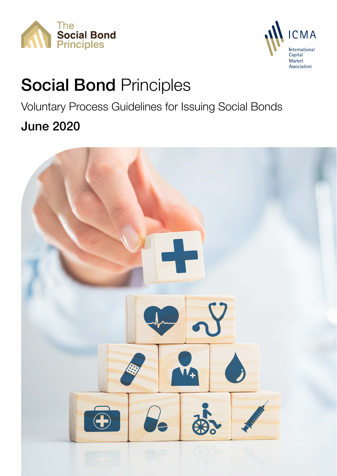



# Social Bond Principles

## Voluntary Process Guidelines for Issuing Social Bonds

## June 2020

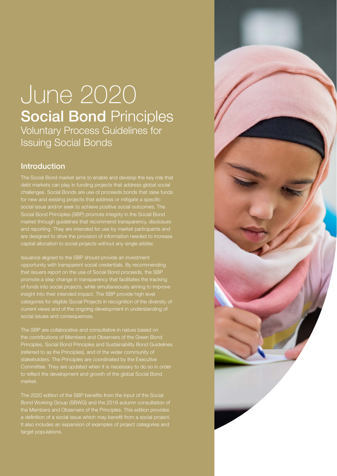## June 2020 **Social Bond Principles** Voluntary Process Guidelines for Issuing Social Bonds

### Introduction

The Social Bond market aims to enable and develop the key role that debt markets can play in funding projects that address global social challenges. Social Bonds are use of proceeds bonds that raise funds for new and existing projects that address or mitigate a specific Social Bond Principles (SBP) promote integrity in the Social Bond market through guidelines that recommend transparency, disclosure and reporting. They are intended for use by market participants and are designed to drive the provision of information needed to increase capital allocation to social projects without any single arbiter.

Issuance aligned to the SBP should provide an investment opportunity with transparent social credentials. By recommending that issuers report on the use of Social Bond proceeds, the SBP promote a step change in transparency that facilitates the tracking of funds into social projects, while simultaneously aiming to improve insight into their intended impact. The SBP provide high level categories for eligible Social Projects in recognition of the diversity of current views and of the ongoing development in understanding of social issues and consequences.

The SBP are collaborative and consultative in nature based on the contributions of Members and Observers of the Green Bond Principles, Social Bond Principles and Sustainability Bond Guidelines (referred to as the Principles), and of the wider community of stakeholders. The Principles are coordinated by the Executive Committee. They are updated when it is necessary to do so in order to reflect the development and growth of the global Social Bond market.

The 2020 edition of the SBP benefits from the input of the Social Bond Working Group (SBWG) and the 2019 autumn consultation of a definition of a social issue which may benefit from a social project. It also includes an expansion of examples of project categories and target populations.

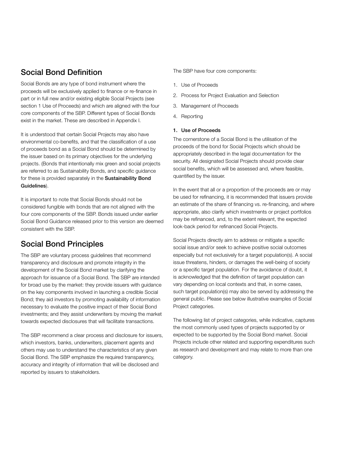## Social Bond Definition

Social Bonds are any type of bond instrument where the proceeds will be exclusively applied to finance or re-finance in part or in full new and/or existing eligible Social Projects (see section 1 Use of Proceeds) and which are aligned with the four core components of the SBP. Different types of Social Bonds exist in the market. These are described in Appendix I.

It is understood that certain Social Projects may also have environmental co-benefits, and that the classification of a use of proceeds bond as a Social Bond should be determined by the issuer based on its primary objectives for the underlying projects. (Bonds that intentionally mix green and social projects are referred to as Sustainability Bonds, and specific guidance for these is provided separately in the [Sustainability Bond](https://www.icmagroup.org/green-social-and-sustainability-bonds/sustainability-bond-guidelines-sbg/)  [Guidelines](https://www.icmagroup.org/green-social-and-sustainability-bonds/sustainability-bond-guidelines-sbg/)).

It is important to note that Social Bonds should not be considered fungible with bonds that are not aligned with the four core components of the SBP. Bonds issued under earlier Social Bond Guidance released prior to this version are deemed consistent with the SBP.

## Social Bond Principles

The SBP are voluntary process guidelines that recommend transparency and disclosure and promote integrity in the development of the Social Bond market by clarifying the approach for issuance of a Social Bond. The SBP are intended for broad use by the market: they provide issuers with guidance on the key components involved in launching a credible Social Bond; they aid investors by promoting availability of information necessary to evaluate the positive impact of their Social Bond investments; and they assist underwriters by moving the market towards expected disclosures that will facilitate transactions.

The SBP recommend a clear process and disclosure for issuers, which investors, banks, underwriters, placement agents and others may use to understand the characteristics of any given Social Bond. The SBP emphasize the required transparency, accuracy and integrity of information that will be disclosed and reported by issuers to stakeholders.

The SBP have four core components:

- 1. Use of Proceeds
- 2. Process for Project Evaluation and Selection
- 3. Management of Proceeds
- 4. Reporting

#### 1. Use of Proceeds

The cornerstone of a Social Bond is the utilisation of the proceeds of the bond for Social Projects which should be appropriately described in the legal documentation for the security. All designated Social Projects should provide clear social benefits, which will be assessed and, where feasible, quantified by the issuer.

In the event that all or a proportion of the proceeds are or may be used for refinancing, it is recommended that issuers provide an estimate of the share of financing vs. re-financing, and where appropriate, also clarify which investments or project portfolios may be refinanced, and, to the extent relevant, the expected look-back period for refinanced Social Projects.

Social Projects directly aim to address or mitigate a specific social issue and/or seek to achieve positive social outcomes especially but not exclusively for a target population(s). A social issue threatens, hinders, or damages the well-being of society or a specific target population. For the avoidance of doubt, it is acknowledged that the definition of target population can vary depending on local contexts and that, in some cases, such target population(s) may also be served by addressing the general public. Please see below illustrative examples of Social Project categories.

The following list of project categories, while indicative, captures the most commonly used types of projects supported by or expected to be supported by the Social Bond market. Social Projects include other related and supporting expenditures such as research and development and may relate to more than one category.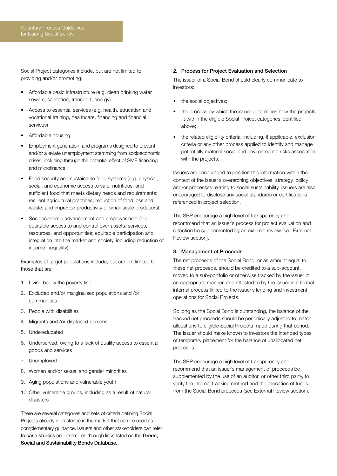Social Project categories include, but are not limited to, providing and/or promoting:

- Affordable basic infrastructure (e.g. clean drinking water, sewers, sanitation, transport, energy)
- Access to essential services (e.g. health, education and vocational training, healthcare, financing and financial services)
- Affordable housing
- Employment generation, and programs designed to prevent and/or alleviate unemployment stemming from socioeconomic crises, including through the potential effect of SME financing and microfinance
- Food security and sustainable food systems (e.g. physical, social, and economic access to safe, nutritious, and sufficient food that meets dietary needs and requirements; resilient agricultural practices; reduction of food loss and waste; and improved productivity of small-scale producers)
- Socioeconomic advancement and empowerment (e.g. equitable access to and control over assets, services, resources, and opportunities; equitable participation and integration into the market and society, including reduction of income inequality)

Examples of target populations include, but are not limited to, those that are:

- 1. Living below the poverty line
- 2. Excluded and/or marginalised populations and /or communities
- 3. People with disabilities
- 4. Migrants and /or displaced persons
- 5. Undereducated
- 6. Underserved, owing to a lack of quality access to essential goods and services
- 7. Unemployed
- 8. Women and/or sexual and gender minorities
- 9. Aging populations and vulnerable youth
- 10. Other vulnerable groups, including as a result of natural disasters

There are several categories and sets of criteria defining Social Projects already in existence in the market that can be used as complementary guidance. Issuers and other stakeholders can refer to [case studies](https://www.icmagroup.org/green-social-and-sustainability-bonds/social-bond-principles-sbp/) and examples through links listed on the [Green,](https://www.icmagroup.org/green-social-and-sustainability-bonds/green-social-and-sustainability-bonds-database/#HomeContent)  [Social and Sustainability Bonds Database](https://www.icmagroup.org/green-social-and-sustainability-bonds/green-social-and-sustainability-bonds-database/#HomeContent).

#### 2. Process for Project Evaluation and Selection

The issuer of a Social Bond should clearly communicate to investors:

- the social objectives;
- the process by which the issuer determines how the projects fit within the eligible Social Project categories identified above;
- the related eligibility criteria, including, if applicable, exclusion criteria or any other process applied to identify and manage potentially material social and environmental risks associated with the projects.

Issuers are encouraged to position this information within the context of the issuer's overarching objectives, strategy, policy and/or processes relating to social sustainability. Issuers are also encouraged to disclose any social standards or certifications referenced in project selection.

The SBP encourage a high level of transparency and recommend that an issuer's process for project evaluation and selection be supplemented by an external review (see External Review section).

#### 3. Management of Proceeds

The net proceeds of the Social Bond, or an amount equal to these net proceeds, should be credited to a sub-account, moved to a sub-portfolio or otherwise tracked by the issuer in an appropriate manner, and attested to by the issuer in a formal internal process linked to the issuer's lending and investment operations for Social Projects.

So long as the Social Bond is outstanding, the balance of the tracked net proceeds should be periodically adjusted to match allocations to eligible Social Projects made during that period. The issuer should make known to investors the intended types of temporary placement for the balance of unallocated net proceeds.

The SBP encourage a high level of transparency and recommend that an issuer's management of proceeds be supplemented by the use of an auditor, or other third party, to verify the internal tracking method and the allocation of funds from the Social Bond proceeds (see External Review section).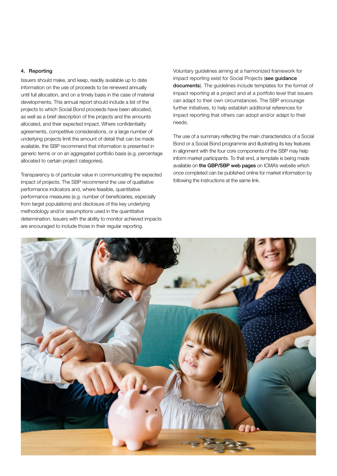#### 4. Reporting

Issuers should make, and keep, readily available up to date information on the use of proceeds to be renewed annually until full allocation, and on a timely basis in the case of material developments. This annual report should include a list of the projects to which Social Bond proceeds have been allocated, as well as a brief description of the projects and the amounts allocated, and their expected impact. Where confidentiality agreements, competitive considerations, or a large number of underlying projects limit the amount of detail that can be made available, the SBP recommend that information is presented in generic terms or on an aggregated portfolio basis (e.g. percentage allocated to certain project categories).

Transparency is of particular value in communicating the expected impact of projects. The SBP recommend the use of qualitative performance indicators and, where feasible, quantitative performance measures (e.g. number of beneficiaries, especially from target populations) and disclosure of the key underlying methodology and/or assumptions used in the quantitative determination. Issuers with the ability to monitor achieved impacts are encouraged to include those in their regular reporting.

Voluntary guidelines aiming at a harmonized framework for impact reporting exist for Social Projects (see quidance [documents](https://www.icmagroup.org/green-social-and-sustainability-bonds/impact-reporting/)). The guidelines include templates for the format of impact reporting at a project and at a portfolio level that issuers can adapt to their own circumstances. The SBP encourage further initiatives, to help establish additional references for impact reporting that others can adopt and/or adapt to their needs.

The use of a summary reflecting the main characteristics of a Social Bond or a Social Bond programme and illustrating its key features in alignment with the four core components of the SBP may help inform market participants. To that end, a template is being made available on [the GBP/SBP web pages](https://www.icmagroup.org/green-social-and-sustainability-bonds/green-social-and-sustainability-bonds-database/#Templatesforissuers) on ICMA's website which once completed can be published online for market information by following the instructions at the same link.

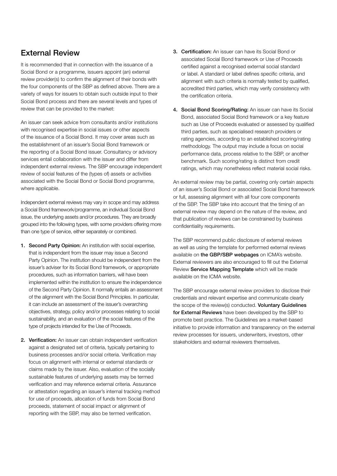### External Review

It is recommended that in connection with the issuance of a Social Bond or a programme, issuers appoint (an) external review provider(s) to confirm the alignment of their bonds with the four components of the SBP as defined above. There are a variety of ways for issuers to obtain such outside input to their Social Bond process and there are several levels and types of review that can be provided to the market:

An issuer can seek advice from consultants and/or institutions with recognised expertise in social issues or other aspects of the issuance of a Social Bond. It may cover areas such as the establishment of an issuer's Social Bond framework or the reporting of a Social Bond issuer. Consultancy or advisory services entail collaboration with the issuer and differ from independent external reviews. The SBP encourage independent review of social features of the (types of) assets or activities associated with the Social Bond or Social Bond programme, where applicable.

Independent external reviews may vary in scope and may address a Social Bond framework/programme, an individual Social Bond issue, the underlying assets and/or procedures. They are broadly grouped into the following types, with some providers offering more than one type of service, either separately or combined.

- 1. Second Party Opinion: An institution with social expertise. that is independent from the issuer may issue a Second Party Opinion. The institution should be independent from the issuer's adviser for its Social Bond framework, or appropriate procedures, such as information barriers, will have been implemented within the institution to ensure the independence of the Second Party Opinion. It normally entails an assessment of the alignment with the Social Bond Principles. In particular, it can include an assessment of the issuer's overarching objectives, strategy, policy and/or processes relating to social sustainability, and an evaluation of the social features of the type of projects intended for the Use of Proceeds.
- 2. Verification: An issuer can obtain independent verification against a designated set of criteria, typically pertaining to business processes and/or social criteria. Verification may focus on alignment with internal or external standards or claims made by the issuer. Also, evaluation of the socially sustainable features of underlying assets may be termed verification and may reference external criteria. Assurance or attestation regarding an issuer's internal tracking method for use of proceeds, allocation of funds from Social Bond proceeds, statement of social impact or alignment of reporting with the SBP, may also be termed verification.
- 3. Certification: An issuer can have its Social Bond or associated Social Bond framework or Use of Proceeds certified against a recognised external social standard or label. A standard or label defines specific criteria, and alignment with such criteria is normally tested by qualified, accredited third parties, which may verify consistency with the certification criteria.
- 4. Social Bond Scoring/Rating: An issuer can have its Social Bond, associated Social Bond framework or a key feature such as Use of Proceeds evaluated or assessed by qualified third parties, such as specialised research providers or rating agencies, according to an established scoring/rating methodology. The output may include a focus on social performance data, process relative to the SBP, or another benchmark. Such scoring/rating is distinct from credit ratings, which may nonetheless reflect material social risks.

An external review may be partial, covering only certain aspects of an issuer's Social Bond or associated Social Bond framework or full, assessing alignment with all four core components of the SBP. The SBP take into account that the timing of an external review may depend on the nature of the review, and that publication of reviews can be constrained by business confidentiality requirements.

The SBP recommend public disclosure of external reviews as well as using the template for performed external reviews available on [the GBP/SBP webpages](https://www.icmagroup.org/green-social-and-sustainability-bonds/green-social-and-sustainability-bonds-database/#HomeContent) on ICMA's website. External reviewers are also encouraged to fill out the External Review [Service Mapping Template](https://www.icmagroup.org/green-social-and-sustainability-bonds/external-reviews/) which will be made available on the ICMA website.

The SBP encourage external review providers to disclose their credentials and relevant expertise and communicate clearly the scope of the review(s) conducted. Voluntary Guidelines [for External Reviews](https://www.icmagroup.org/green-social-and-sustainability-bonds/external-reviews/) have been developed by the SBP to promote best practice. The Guidelines are a market-based initiative to provide information and transparency on the external review processes for issuers, underwriters, investors, other stakeholders and external reviewers themselves.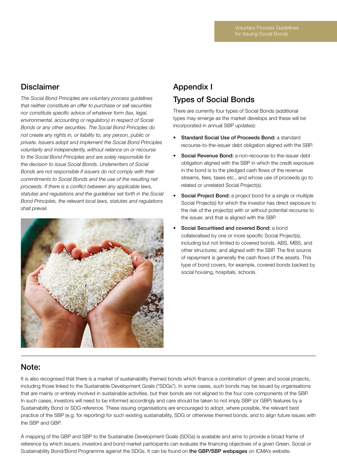## Disclaimer

*The Social Bond Principles are voluntary process guidelines that neither constitute an offer to purchase or sell securities nor constitute specific advice of whatever form (tax, legal, environmental, accounting or regulatory) in respect of Social Bonds or any other securities. The Social Bond Principles do not create any rights in, or liability to, any person, public or private. Issuers adopt and implement the Social Bond Principles voluntarily and independently, without reliance on or recourse to the Social Bond Principles and are solely responsible for the decision to issue Social Bonds. Underwriters of Social Bonds are not responsible if issuers do not comply with their commitments to Social Bonds and the use of the resulting net proceeds. If there is a conflict between any applicable laws, statutes and regulations and the guidelines set forth in the Social Bond Principles, the relevant local laws, statutes and regulations shall prevail.* 



## Appendix I Types of Social Bonds

There are currently four types of Social Bonds (additional types may emerge as the market develops and these will be incorporated in annual SBP updates):

- Standard Social Use of Proceeds Bond: a standard recourse-to-the-issuer debt obligation aligned with the SBP.
- **Social Revenue Bond:** a non-recourse-to-the-issuer debt obligation aligned with the SBP in which the credit exposure in the bond is to the pledged cash flows of the revenue streams, fees, taxes etc., and whose use of proceeds go to related or unrelated Social Project(s).
- Social Project Bond: a project bond for a single or multiple Social Project(s) for which the investor has direct exposure to the risk of the project(s) with or without potential recourse to the issuer, and that is aligned with the SBP.
- Social Securitised and covered Bond: a bond collateralised by one or more specific Social Project(s), including but not limited to covered bonds, ABS, MBS, and other structures; and aligned with the SBP. The first source of repayment is generally the cash flows of the assets. This type of bond covers, for example, covered bonds backed by social housing, hospitals, schools.

## Note:

It is also recognised that there is a market of sustainability themed bonds which finance a combination of green and social projects, including those linked to the Sustainable Development Goals ("SDGs"). In some cases, such bonds may be issued by organisations that are mainly or entirely involved in sustainable activities, but their bonds are not aligned to the four core components of the SBP. In such cases, investors will need to be informed accordingly and care should be taken to not imply SBP (or GBP) features by a Sustainability Bond or SDG reference. These issuing organisations are encouraged to adopt, where possible, the relevant best practice of the SBP (e.g. for reporting) for such existing sustainability, SDG or otherwise themed bonds, and to align future issues with the SBP and GBP.

A mapping of the GBP and SBP to the Sustainable Development Goals (SDGs) is available and aims to provide a broad frame of reference by which issuers, investors and bond market participants can evaluate the financing objectives of a given Green, Social or Sustainability Bond/Bond Programme against the SDGs. It can be found on [the GBP/SBP webpages](https://www.icmagroup.org/green-social-and-sustainability-bonds/mapping-to-the-sustainable-development-goals/) on ICMA's website.